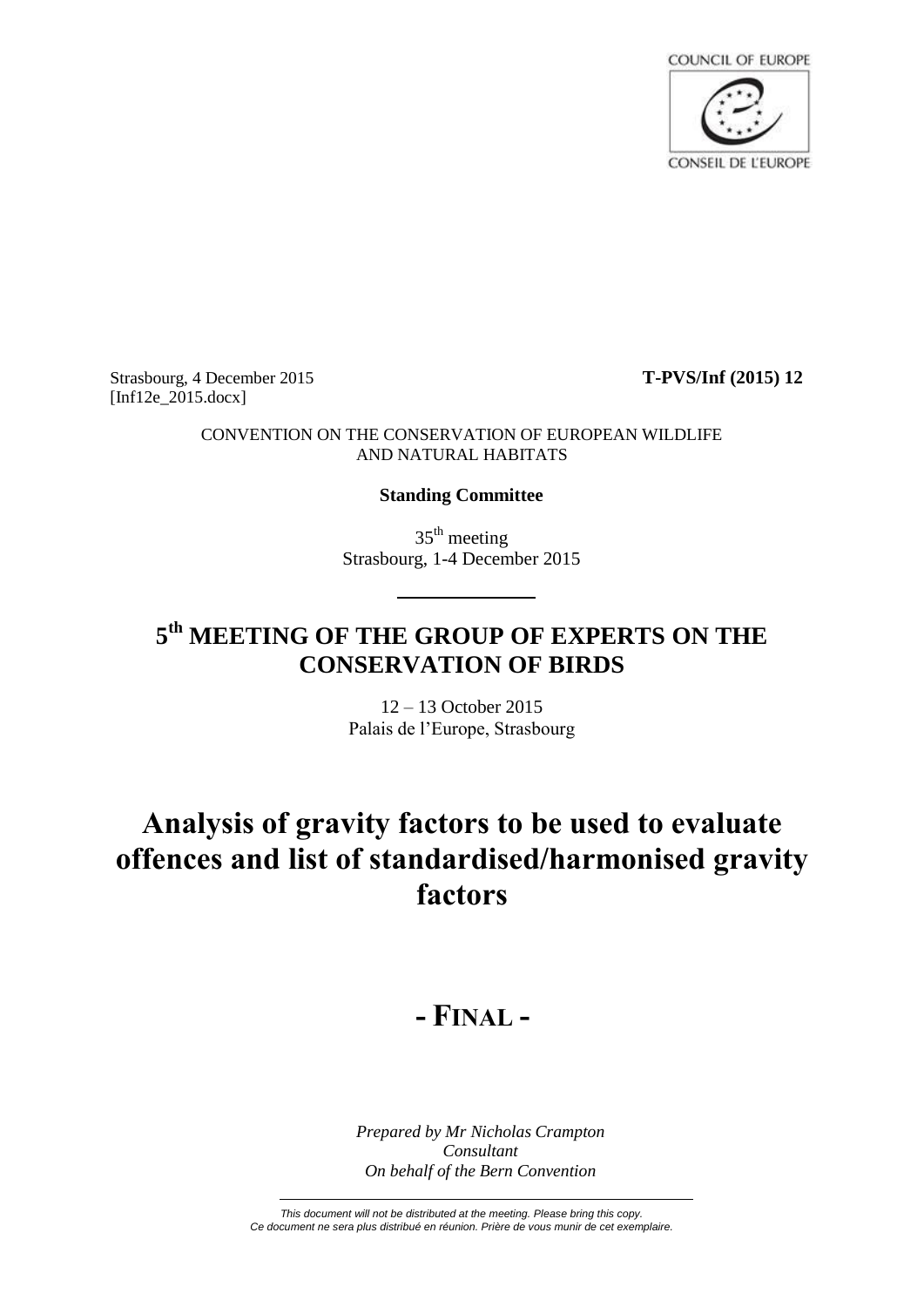

Strasbourg, 4 December 2015 **T-PVS/Inf (2015) 12** [Inf12e\_2015.docx]

### CONVENTION ON THE CONSERVATION OF EUROPEAN WILDLIFE AND NATURAL HABITATS

### **Standing Committee**

 $35<sup>th</sup>$  meeting Strasbourg, 1-4 December 2015

### **5 th MEETING OF THE GROUP OF EXPERTS ON THE CONSERVATION OF BIRDS**

12 – 13 October 2015 Palais de l'Europe, Strasbourg

# **Analysis of gravity factors to be used to evaluate offences and list of standardised/harmonised gravity factors**

## **- FINAL -**

*Prepared by Mr Nicholas Crampton Consultant On behalf of the Bern Convention*

*This document will not be distributed at the meeting. Please bring this copy. Ce document ne sera plus distribué en réunion. Prière de vous munir de cet exemplaire.*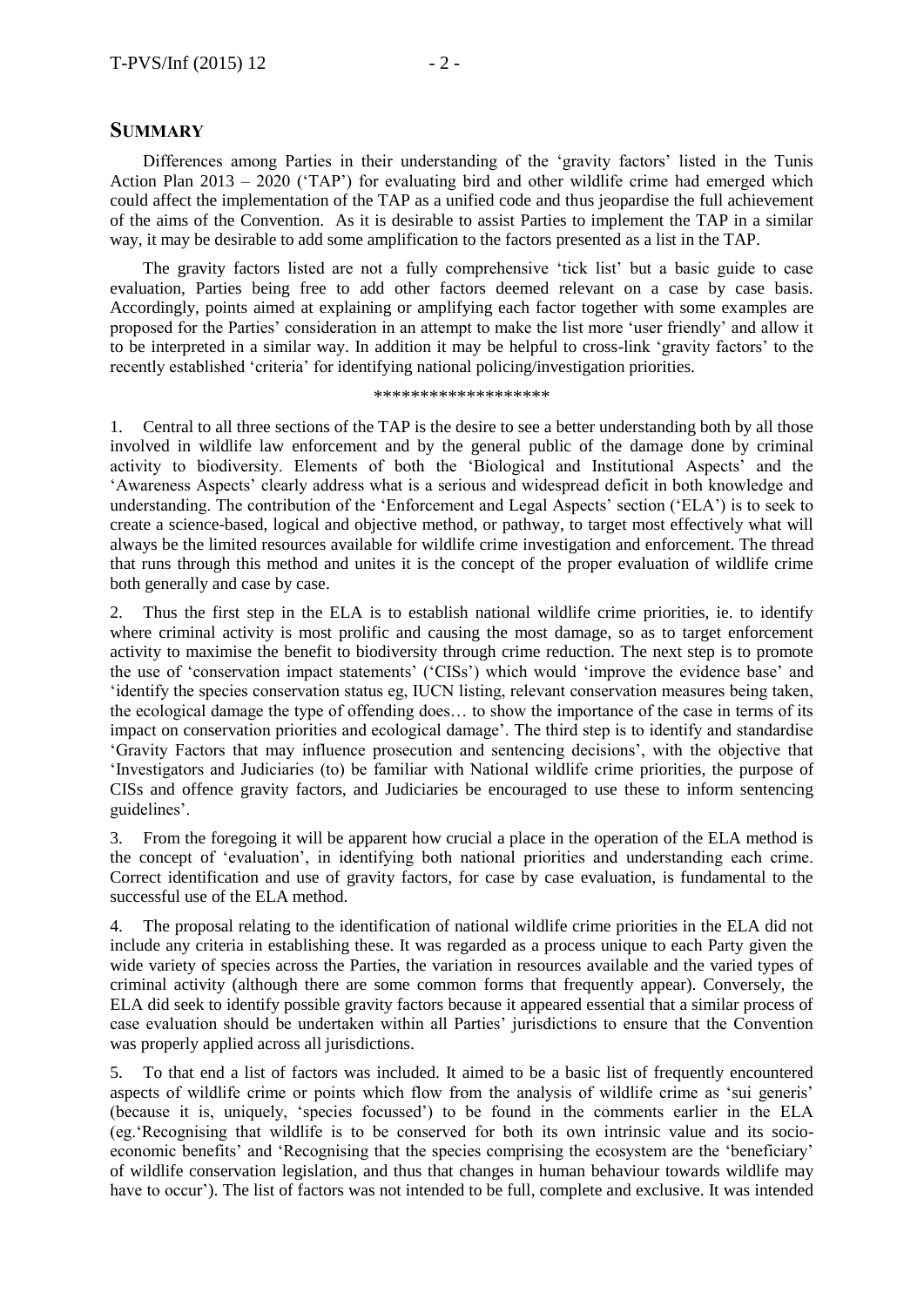### **SUMMARY**

Differences among Parties in their understanding of the 'gravity factors' listed in the Tunis Action Plan  $2013 - 2020$  ('TAP') for evaluating bird and other wildlife crime had emerged which could affect the implementation of the TAP as a unified code and thus jeopardise the full achievement of the aims of the Convention. As it is desirable to assist Parties to implement the TAP in a similar way, it may be desirable to add some amplification to the factors presented as a list in the TAP.

The gravity factors listed are not a fully comprehensive 'tick list' but a basic guide to case evaluation, Parties being free to add other factors deemed relevant on a case by case basis. Accordingly, points aimed at explaining or amplifying each factor together with some examples are proposed for the Parties' consideration in an attempt to make the list more 'user friendly' and allow it to be interpreted in a similar way. In addition it may be helpful to cross-link 'gravity factors' to the recently established 'criteria' for identifying national policing/investigation priorities.

\*\*\*\*\*\*\*\*\*\*\*\*\*\*\*\*\*\*\*

1. Central to all three sections of the TAP is the desire to see a better understanding both by all those involved in wildlife law enforcement and by the general public of the damage done by criminal activity to biodiversity. Elements of both the 'Biological and Institutional Aspects' and the 'Awareness Aspects' clearly address what is a serious and widespread deficit in both knowledge and understanding. The contribution of the 'Enforcement and Legal Aspects' section ('ELA') is to seek to create a science-based, logical and objective method, or pathway, to target most effectively what will always be the limited resources available for wildlife crime investigation and enforcement. The thread that runs through this method and unites it is the concept of the proper evaluation of wildlife crime both generally and case by case.

2. Thus the first step in the ELA is to establish national wildlife crime priorities, ie. to identify where criminal activity is most prolific and causing the most damage, so as to target enforcement activity to maximise the benefit to biodiversity through crime reduction. The next step is to promote the use of 'conservation impact statements' ('CISs') which would 'improve the evidence base' and 'identify the species conservation status eg, IUCN listing, relevant conservation measures being taken, the ecological damage the type of offending does… to show the importance of the case in terms of its impact on conservation priorities and ecological damage'. The third step is to identify and standardise 'Gravity Factors that may influence prosecution and sentencing decisions', with the objective that 'Investigators and Judiciaries (to) be familiar with National wildlife crime priorities, the purpose of CISs and offence gravity factors, and Judiciaries be encouraged to use these to inform sentencing guidelines'.

3. From the foregoing it will be apparent how crucial a place in the operation of the ELA method is the concept of 'evaluation', in identifying both national priorities and understanding each crime. Correct identification and use of gravity factors, for case by case evaluation, is fundamental to the successful use of the ELA method.

4. The proposal relating to the identification of national wildlife crime priorities in the ELA did not include any criteria in establishing these. It was regarded as a process unique to each Party given the wide variety of species across the Parties, the variation in resources available and the varied types of criminal activity (although there are some common forms that frequently appear). Conversely, the ELA did seek to identify possible gravity factors because it appeared essential that a similar process of case evaluation should be undertaken within all Parties' jurisdictions to ensure that the Convention was properly applied across all jurisdictions.

5. To that end a list of factors was included. It aimed to be a basic list of frequently encountered aspects of wildlife crime or points which flow from the analysis of wildlife crime as 'sui generis' (because it is, uniquely, 'species focussed') to be found in the comments earlier in the ELA (eg.'Recognising that wildlife is to be conserved for both its own intrinsic value and its socioeconomic benefits' and 'Recognising that the species comprising the ecosystem are the 'beneficiary' of wildlife conservation legislation, and thus that changes in human behaviour towards wildlife may have to occur'). The list of factors was not intended to be full, complete and exclusive. It was intended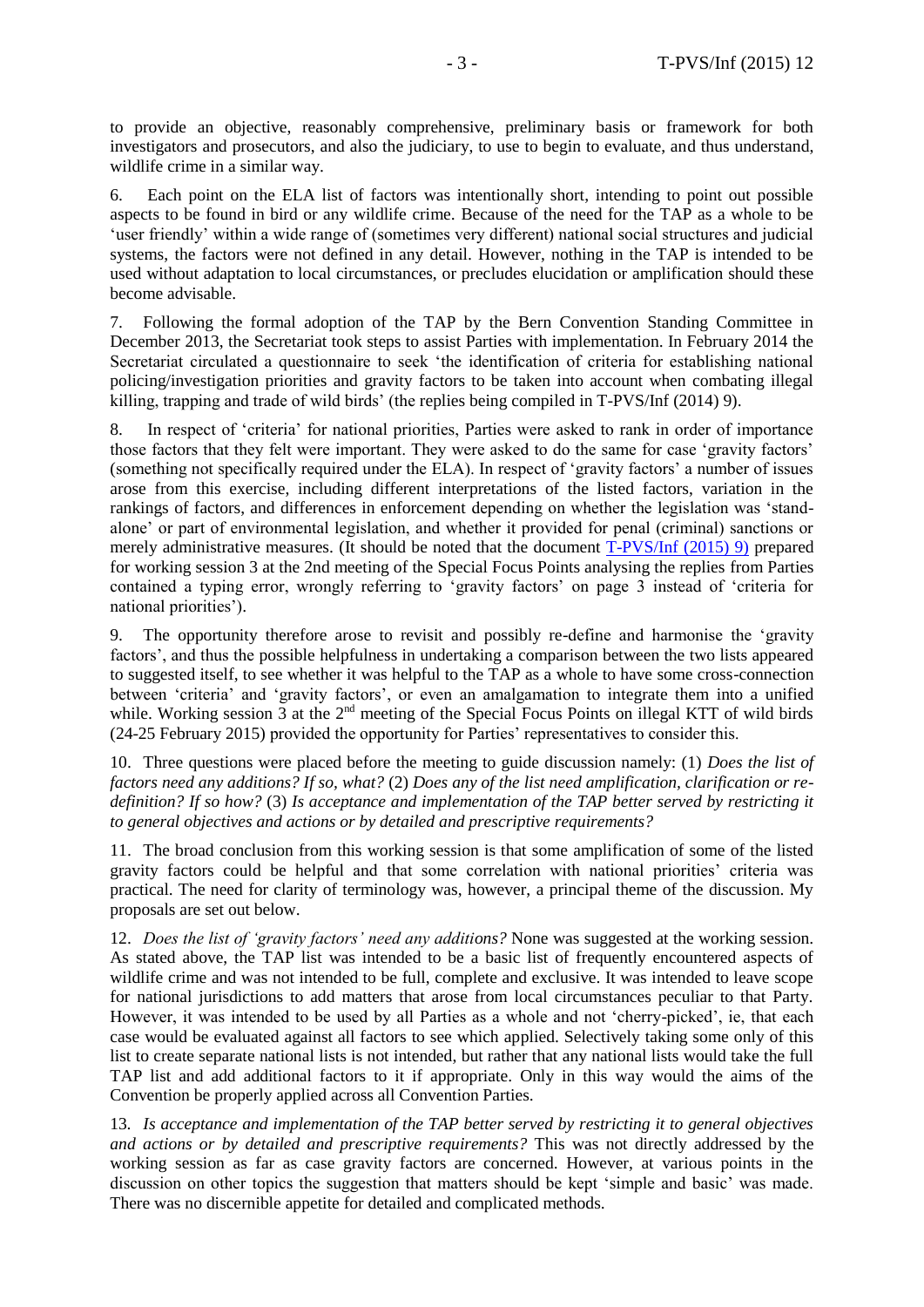to provide an objective, reasonably comprehensive, preliminary basis or framework for both investigators and prosecutors, and also the judiciary, to use to begin to evaluate, and thus understand, wildlife crime in a similar way.

6. Each point on the ELA list of factors was intentionally short, intending to point out possible aspects to be found in bird or any wildlife crime. Because of the need for the TAP as a whole to be 'user friendly' within a wide range of (sometimes very different) national social structures and judicial systems, the factors were not defined in any detail. However, nothing in the TAP is intended to be used without adaptation to local circumstances, or precludes elucidation or amplification should these become advisable.

7. Following the formal adoption of the TAP by the Bern Convention Standing Committee in December 2013, the Secretariat took steps to assist Parties with implementation. In February 2014 the Secretariat circulated a questionnaire to seek 'the identification of criteria for establishing national policing/investigation priorities and gravity factors to be taken into account when combating illegal killing, trapping and trade of wild birds' (the replies being compiled in T-PVS/Inf (2014) 9).

8. In respect of 'criteria' for national priorities, Parties were asked to rank in order of importance those factors that they felt were important. They were asked to do the same for case 'gravity factors' (something not specifically required under the ELA). In respect of 'gravity factors' a number of issues arose from this exercise, including different interpretations of the listed factors, variation in the rankings of factors, and differences in enforcement depending on whether the legislation was 'standalone' or part of environmental legislation, and whether it provided for penal (criminal) sanctions or merely administrative measures. (It should be noted that the document [T-PVS/Inf](https://wcd.coe.int/ViewDoc.jsp?id=2290203&Site=&BackColorInternet=B9BDEE&BackColorIntranet=FFCD4F&BackColorLogged=FFC679) (2015) 9) prepared for working session 3 at the 2nd meeting of the Special Focus Points analysing the replies from Parties contained a typing error, wrongly referring to 'gravity factors' on page 3 instead of 'criteria for national priorities').

9. The opportunity therefore arose to revisit and possibly re-define and harmonise the 'gravity factors', and thus the possible helpfulness in undertaking a comparison between the two lists appeared to suggested itself, to see whether it was helpful to the TAP as a whole to have some cross-connection between 'criteria' and 'gravity factors', or even an amalgamation to integrate them into a unified while. Working session 3 at the  $2<sup>nd</sup>$  meeting of the Special Focus Points on illegal KTT of wild birds (24-25 February 2015) provided the opportunity for Parties' representatives to consider this.

10. Three questions were placed before the meeting to guide discussion namely: (1) *Does the list of factors need any additions? If so, what?* (2) *Does any of the list need amplification, clarification or redefinition? If so how?* (3) *Is acceptance and implementation of the TAP better served by restricting it to general objectives and actions or by detailed and prescriptive requirements?*

11. The broad conclusion from this working session is that some amplification of some of the listed gravity factors could be helpful and that some correlation with national priorities' criteria was practical. The need for clarity of terminology was, however, a principal theme of the discussion. My proposals are set out below.

12. *Does the list of 'gravity factors' need any additions?* None was suggested at the working session. As stated above, the TAP list was intended to be a basic list of frequently encountered aspects of wildlife crime and was not intended to be full, complete and exclusive. It was intended to leave scope for national jurisdictions to add matters that arose from local circumstances peculiar to that Party. However, it was intended to be used by all Parties as a whole and not 'cherry-picked', ie, that each case would be evaluated against all factors to see which applied. Selectively taking some only of this list to create separate national lists is not intended, but rather that any national lists would take the full TAP list and add additional factors to it if appropriate. Only in this way would the aims of the Convention be properly applied across all Convention Parties.

13*. Is acceptance and implementation of the TAP better served by restricting it to general objectives and actions or by detailed and prescriptive requirements?* This was not directly addressed by the working session as far as case gravity factors are concerned. However, at various points in the discussion on other topics the suggestion that matters should be kept 'simple and basic' was made. There was no discernible appetite for detailed and complicated methods.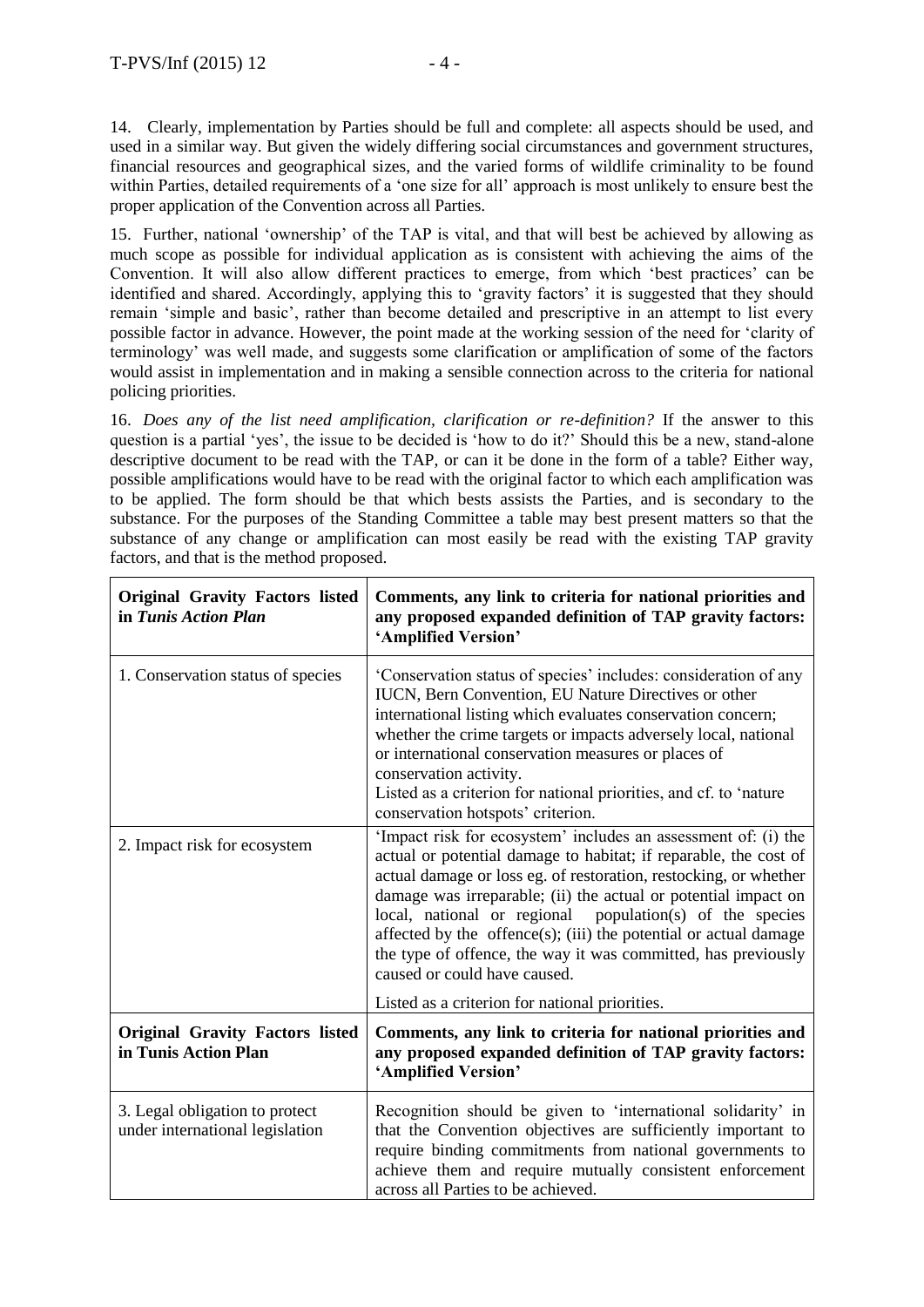14. Clearly, implementation by Parties should be full and complete: all aspects should be used, and used in a similar way. But given the widely differing social circumstances and government structures, financial resources and geographical sizes, and the varied forms of wildlife criminality to be found within Parties, detailed requirements of a 'one size for all' approach is most unlikely to ensure best the proper application of the Convention across all Parties.

15. Further, national 'ownership' of the TAP is vital, and that will best be achieved by allowing as much scope as possible for individual application as is consistent with achieving the aims of the Convention. It will also allow different practices to emerge, from which 'best practices' can be identified and shared. Accordingly, applying this to 'gravity factors' it is suggested that they should remain 'simple and basic', rather than become detailed and prescriptive in an attempt to list every possible factor in advance. However, the point made at the working session of the need for 'clarity of terminology' was well made, and suggests some clarification or amplification of some of the factors would assist in implementation and in making a sensible connection across to the criteria for national policing priorities.

16. *Does any of the list need amplification, clarification or re-definition?* If the answer to this question is a partial 'yes', the issue to be decided is 'how to do it?' Should this be a new, stand-alone descriptive document to be read with the TAP, or can it be done in the form of a table? Either way, possible amplifications would have to be read with the original factor to which each amplification was to be applied. The form should be that which bests assists the Parties, and is secondary to the substance. For the purposes of the Standing Committee a table may best present matters so that the substance of any change or amplification can most easily be read with the existing TAP gravity factors, and that is the method proposed.

| <b>Original Gravity Factors listed</b><br>in Tunis Action Plan    | Comments, any link to criteria for national priorities and<br>any proposed expanded definition of TAP gravity factors:<br>'Amplified Version'                                                                                                                                                                                                                                                                                                                                                             |
|-------------------------------------------------------------------|-----------------------------------------------------------------------------------------------------------------------------------------------------------------------------------------------------------------------------------------------------------------------------------------------------------------------------------------------------------------------------------------------------------------------------------------------------------------------------------------------------------|
| 1. Conservation status of species                                 | 'Conservation status of species' includes: consideration of any<br>IUCN, Bern Convention, EU Nature Directives or other<br>international listing which evaluates conservation concern;<br>whether the crime targets or impacts adversely local, national<br>or international conservation measures or places of<br>conservation activity.<br>Listed as a criterion for national priorities, and cf. to 'nature<br>conservation hotspots' criterion.                                                       |
| 2. Impact risk for ecosystem                                      | 'Impact risk for ecosystem' includes an assessment of: (i) the<br>actual or potential damage to habitat; if reparable, the cost of<br>actual damage or loss eg. of restoration, restocking, or whether<br>damage was irreparable; (ii) the actual or potential impact on<br>local, national or regional population(s) of the species<br>affected by the offence(s); (iii) the potential or actual damage<br>the type of offence, the way it was committed, has previously<br>caused or could have caused. |
| <b>Original Gravity Factors listed</b><br>in Tunis Action Plan    | Listed as a criterion for national priorities.<br>Comments, any link to criteria for national priorities and<br>any proposed expanded definition of TAP gravity factors:<br>'Amplified Version'                                                                                                                                                                                                                                                                                                           |
| 3. Legal obligation to protect<br>under international legislation | Recognition should be given to 'international solidarity' in<br>that the Convention objectives are sufficiently important to<br>require binding commitments from national governments to<br>achieve them and require mutually consistent enforcement<br>across all Parties to be achieved.                                                                                                                                                                                                                |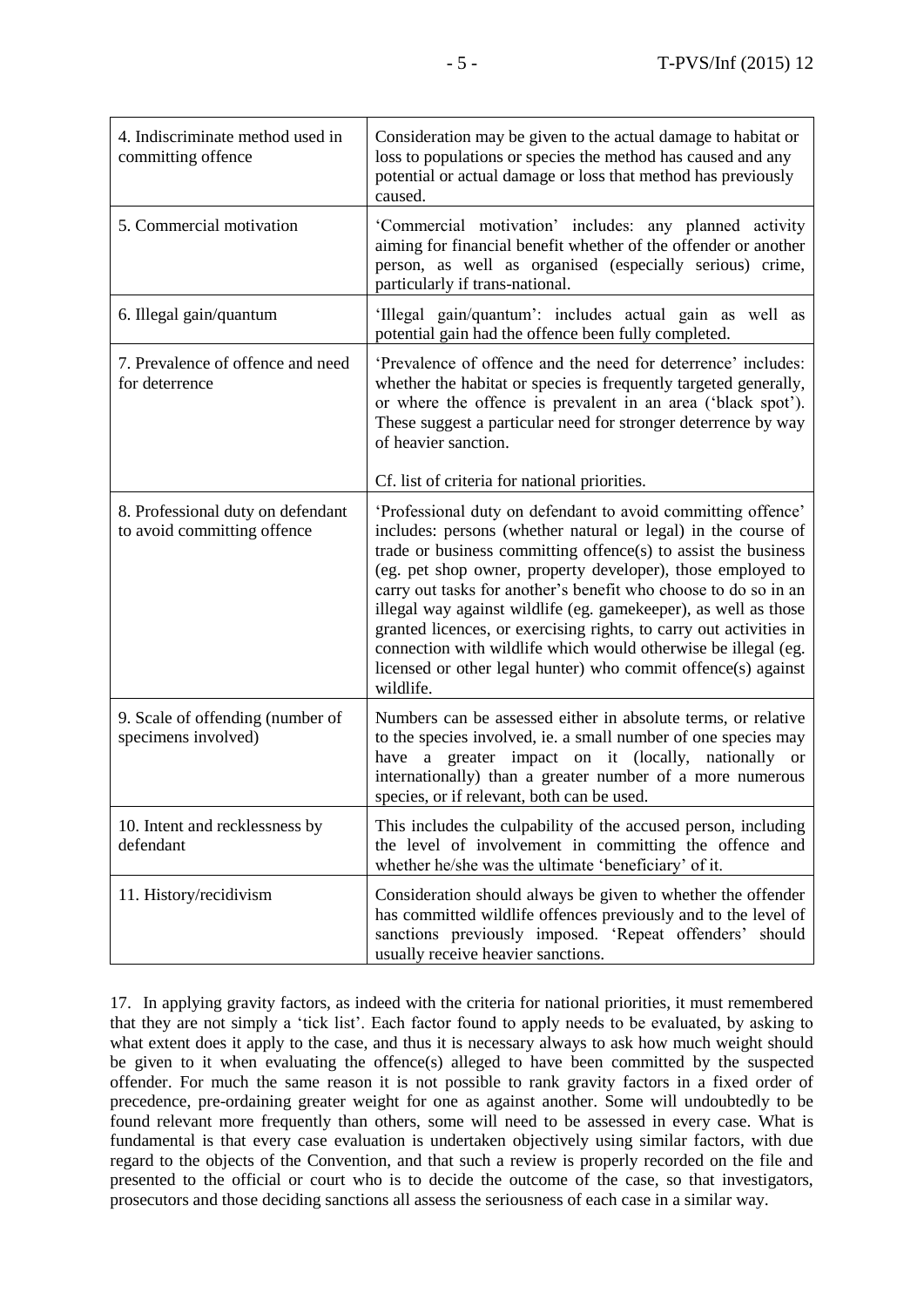| 4. Indiscriminate method used in<br>committing offence           | Consideration may be given to the actual damage to habitat or<br>loss to populations or species the method has caused and any<br>potential or actual damage or loss that method has previously<br>caused.                                                                                                                                                                                                                                                                                                                                                                                                                  |
|------------------------------------------------------------------|----------------------------------------------------------------------------------------------------------------------------------------------------------------------------------------------------------------------------------------------------------------------------------------------------------------------------------------------------------------------------------------------------------------------------------------------------------------------------------------------------------------------------------------------------------------------------------------------------------------------------|
| 5. Commercial motivation                                         | 'Commercial motivation' includes: any planned activity<br>aiming for financial benefit whether of the offender or another<br>person, as well as organised (especially serious) crime,<br>particularly if trans-national.                                                                                                                                                                                                                                                                                                                                                                                                   |
| 6. Illegal gain/quantum                                          | 'Illegal gain/quantum': includes actual gain as well as<br>potential gain had the offence been fully completed.                                                                                                                                                                                                                                                                                                                                                                                                                                                                                                            |
| 7. Prevalence of offence and need<br>for deterrence              | 'Prevalence of offence and the need for deterrence' includes:<br>whether the habitat or species is frequently targeted generally,<br>or where the offence is prevalent in an area ('black spot').<br>These suggest a particular need for stronger deterrence by way<br>of heavier sanction.                                                                                                                                                                                                                                                                                                                                |
|                                                                  | Cf. list of criteria for national priorities.                                                                                                                                                                                                                                                                                                                                                                                                                                                                                                                                                                              |
| 8. Professional duty on defendant<br>to avoid committing offence | 'Professional duty on defendant to avoid committing offence'<br>includes: persons (whether natural or legal) in the course of<br>trade or business committing offence(s) to assist the business<br>(eg. pet shop owner, property developer), those employed to<br>carry out tasks for another's benefit who choose to do so in an<br>illegal way against wildlife (eg. gamekeeper), as well as those<br>granted licences, or exercising rights, to carry out activities in<br>connection with wildlife which would otherwise be illegal (eg.<br>licensed or other legal hunter) who commit offence(s) against<br>wildlife. |
| 9. Scale of offending (number of<br>specimens involved)          | Numbers can be assessed either in absolute terms, or relative<br>to the species involved, ie. a small number of one species may<br>have a greater impact on it (locally, nationally or<br>internationally) than a greater number of a more numerous<br>species, or if relevant, both can be used.                                                                                                                                                                                                                                                                                                                          |
| 10. Intent and recklessness by<br>defendant                      | This includes the culpability of the accused person, including<br>the level of involvement in committing the offence and<br>whether he/she was the ultimate 'beneficiary' of it.                                                                                                                                                                                                                                                                                                                                                                                                                                           |
| 11. History/recidivism                                           | Consideration should always be given to whether the offender<br>has committed wildlife offences previously and to the level of<br>sanctions previously imposed. 'Repeat offenders' should<br>usually receive heavier sanctions.                                                                                                                                                                                                                                                                                                                                                                                            |

17. In applying gravity factors, as indeed with the criteria for national priorities, it must remembered that they are not simply a 'tick list'. Each factor found to apply needs to be evaluated, by asking to what extent does it apply to the case, and thus it is necessary always to ask how much weight should be given to it when evaluating the offence(s) alleged to have been committed by the suspected offender. For much the same reason it is not possible to rank gravity factors in a fixed order of precedence, pre-ordaining greater weight for one as against another. Some will undoubtedly to be found relevant more frequently than others, some will need to be assessed in every case. What is fundamental is that every case evaluation is undertaken objectively using similar factors, with due regard to the objects of the Convention, and that such a review is properly recorded on the file and presented to the official or court who is to decide the outcome of the case, so that investigators, prosecutors and those deciding sanctions all assess the seriousness of each case in a similar way.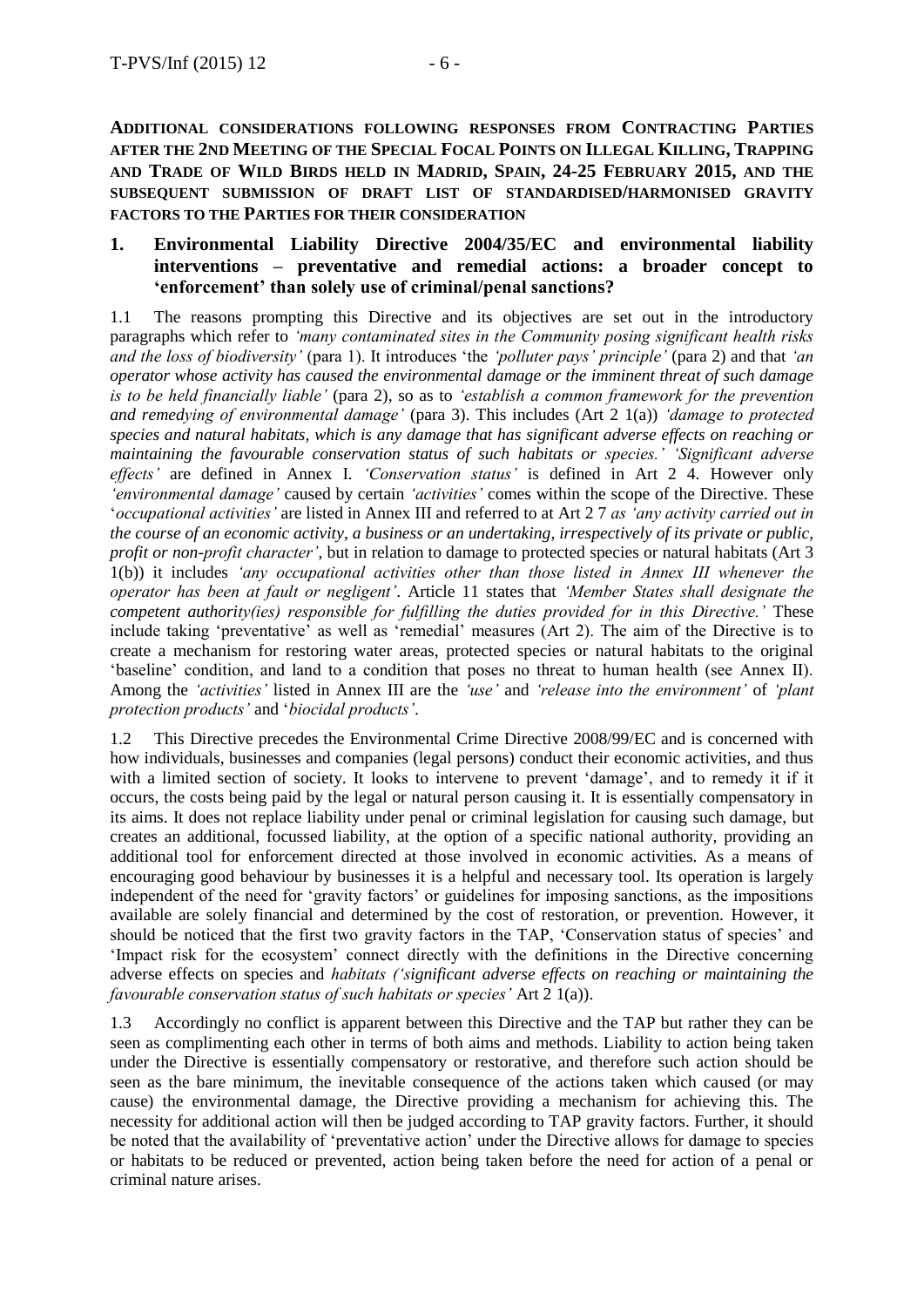**ADDITIONAL CONSIDERATIONS FOLLOWING RESPONSES FROM CONTRACTING PARTIES AFTER THE 2ND MEETING OF THE SPECIAL FOCAL POINTS ON ILLEGAL KILLING, TRAPPING AND TRADE OF WILD BIRDS HELD IN MADRID, SPAIN, 24-25 FEBRUARY 2015, AND THE SUBSEQUENT SUBMISSION OF DRAFT LIST OF STANDARDISED/HARMONISED GRAVITY FACTORS TO THE PARTIES FOR THEIR CONSIDERATION**

### **1. Environmental Liability Directive 2004/35/EC and environmental liability interventions – preventative and remedial actions: a broader concept to 'enforcement' than solely use of criminal/penal sanctions?**

1.1 The reasons prompting this Directive and its objectives are set out in the introductory paragraphs which refer to *'many contaminated sites in the Community posing significant health risks and the loss of biodiversity'* (para 1). It introduces 'the *'polluter pays' principle'* (para 2) and that *'an operator whose activity has caused the environmental damage or the imminent threat of such damage is to be held financially liable'* (para 2), so as to *'establish a common framework for the prevention and remedying of environmental damage'* (para 3). This includes (Art 2 1(a)) *'damage to protected species and natural habitats, which is any damage that has significant adverse effects on reaching or maintaining the favourable conservation status of such habitats or species.' 'Significant adverse effects'* are defined in Annex I. *'Conservation status'* is defined in Art 2 4. However only *'environmental damage'* caused by certain *'activities'* comes within the scope of the Directive. These '*occupational activities'* are listed in Annex III and referred to at Art 2 7 *as 'any activity carried out in the course of an economic activity, a business or an undertaking, irrespectively of its private or public, profit or non-profit character'*, but in relation to damage to protected species or natural habitats (Art 3) 1(b)) it includes *'any occupational activities other than those listed in Annex III whenever the operator has been at fault or negligent'*. Article 11 states that *'Member States shall designate the competent authority(ies) responsible for fulfilling the duties provided for in this Directive.'* These include taking 'preventative' as well as 'remedial' measures (Art 2). The aim of the Directive is to create a mechanism for restoring water areas, protected species or natural habitats to the original 'baseline' condition, and land to a condition that poses no threat to human health (see Annex II). Among the *'activities'* listed in Annex III are the *'use'* and *'release into the environment'* of *'plant protection products'* and '*biocidal products'*.

1.2 This Directive precedes the Environmental Crime Directive 2008/99/EC and is concerned with how individuals, businesses and companies (legal persons) conduct their economic activities, and thus with a limited section of society. It looks to intervene to prevent 'damage', and to remedy it if it occurs, the costs being paid by the legal or natural person causing it. It is essentially compensatory in its aims. It does not replace liability under penal or criminal legislation for causing such damage, but creates an additional, focussed liability, at the option of a specific national authority, providing an additional tool for enforcement directed at those involved in economic activities. As a means of encouraging good behaviour by businesses it is a helpful and necessary tool. Its operation is largely independent of the need for 'gravity factors' or guidelines for imposing sanctions, as the impositions available are solely financial and determined by the cost of restoration, or prevention. However, it should be noticed that the first two gravity factors in the TAP, 'Conservation status of species' and 'Impact risk for the ecosystem' connect directly with the definitions in the Directive concerning adverse effects on species and *habitats ('significant adverse effects on reaching or maintaining the favourable conservation status of such habitats or species'* Art 2 1(a)).

1.3 Accordingly no conflict is apparent between this Directive and the TAP but rather they can be seen as complimenting each other in terms of both aims and methods. Liability to action being taken under the Directive is essentially compensatory or restorative, and therefore such action should be seen as the bare minimum, the inevitable consequence of the actions taken which caused (or may cause) the environmental damage, the Directive providing a mechanism for achieving this. The necessity for additional action will then be judged according to TAP gravity factors. Further, it should be noted that the availability of 'preventative action' under the Directive allows for damage to species or habitats to be reduced or prevented, action being taken before the need for action of a penal or criminal nature arises.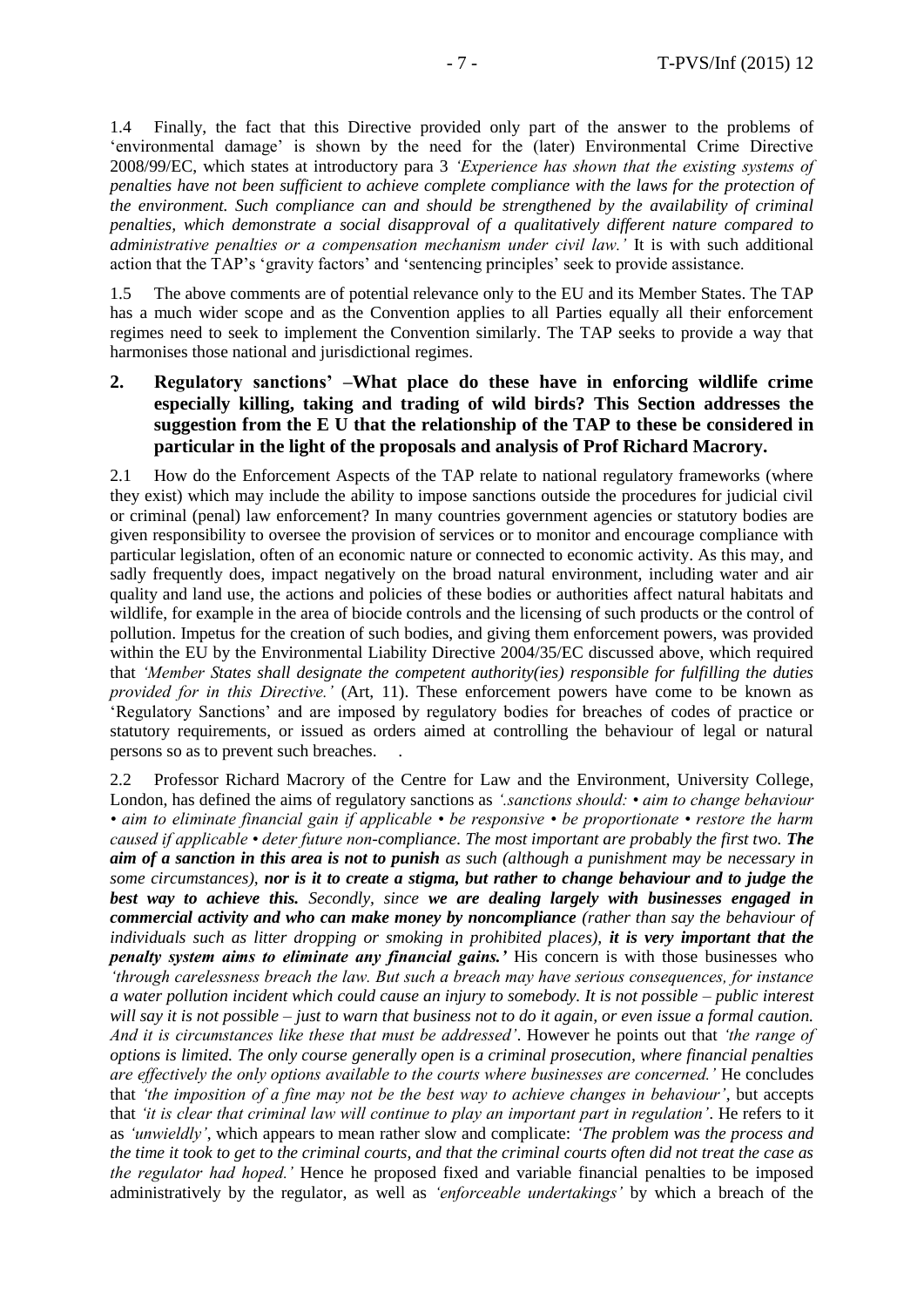1.4 Finally, the fact that this Directive provided only part of the answer to the problems of 'environmental damage' is shown by the need for the (later) Environmental Crime Directive 2008/99/EC, which states at introductory para 3 *'Experience has shown that the existing systems of penalties have not been sufficient to achieve complete compliance with the laws for the protection of the environment. Such compliance can and should be strengthened by the availability of criminal penalties, which demonstrate a social disapproval of a qualitatively different nature compared to administrative penalties or a compensation mechanism under civil law.'* It is with such additional action that the TAP's 'gravity factors' and 'sentencing principles' seek to provide assistance.

1.5 The above comments are of potential relevance only to the EU and its Member States. The TAP has a much wider scope and as the Convention applies to all Parties equally all their enforcement regimes need to seek to implement the Convention similarly. The TAP seeks to provide a way that harmonises those national and jurisdictional regimes.

### **2. Regulatory sanctions' –What place do these have in enforcing wildlife crime especially killing, taking and trading of wild birds? This Section addresses the suggestion from the E U that the relationship of the TAP to these be considered in particular in the light of the proposals and analysis of Prof Richard Macrory.**

2.1 How do the Enforcement Aspects of the TAP relate to national regulatory frameworks (where they exist) which may include the ability to impose sanctions outside the procedures for judicial civil or criminal (penal) law enforcement? In many countries government agencies or statutory bodies are given responsibility to oversee the provision of services or to monitor and encourage compliance with particular legislation, often of an economic nature or connected to economic activity. As this may, and sadly frequently does, impact negatively on the broad natural environment, including water and air quality and land use, the actions and policies of these bodies or authorities affect natural habitats and wildlife, for example in the area of biocide controls and the licensing of such products or the control of pollution. Impetus for the creation of such bodies, and giving them enforcement powers, was provided within the EU by the Environmental Liability Directive 2004/35/EC discussed above, which required that *'Member States shall designate the competent authority(ies) responsible for fulfilling the duties provided for in this Directive.'* (Art, 11). These enforcement powers have come to be known as 'Regulatory Sanctions' and are imposed by regulatory bodies for breaches of codes of practice or statutory requirements, or issued as orders aimed at controlling the behaviour of legal or natural persons so as to prevent such breaches. .

2.2 Professor Richard Macrory of the Centre for Law and the Environment, University College, London, has defined the aims of regulatory sanctions as *'.sanctions should: • aim to change behaviour • aim to eliminate financial gain if applicable • be responsive • be proportionate • restore the harm caused if applicable • deter future non-compliance. The most important are probably the first two. The aim of a sanction in this area is not to punish as such (although a punishment may be necessary in some circumstances), nor is it to create a stigma, but rather to change behaviour and to judge the best way to achieve this. Secondly, since we are dealing largely with businesses engaged in commercial activity and who can make money by noncompliance (rather than say the behaviour of individuals such as litter dropping or smoking in prohibited places), it is very important that the penalty system aims to eliminate any financial gains.'* His concern is with those businesses who *'through carelessness breach the law. But such a breach may have serious consequences, for instance a water pollution incident which could cause an injury to somebody. It is not possible – public interest will say it is not possible – just to warn that business not to do it again, or even issue a formal caution. And it is circumstances like these that must be addressed'*. However he points out that *'the range of options is limited. The only course generally open is a criminal prosecution, where financial penalties are effectively the only options available to the courts where businesses are concerned.'* He concludes that *'the imposition of a fine may not be the best way to achieve changes in behaviour'*, but accepts that *'it is clear that criminal law will continue to play an important part in regulation'*. He refers to it as *'unwieldly'*, which appears to mean rather slow and complicate: *'The problem was the process and the time it took to get to the criminal courts, and that the criminal courts often did not treat the case as the regulator had hoped.'* Hence he proposed fixed and variable financial penalties to be imposed administratively by the regulator, as well as *'enforceable undertakings'* by which a breach of the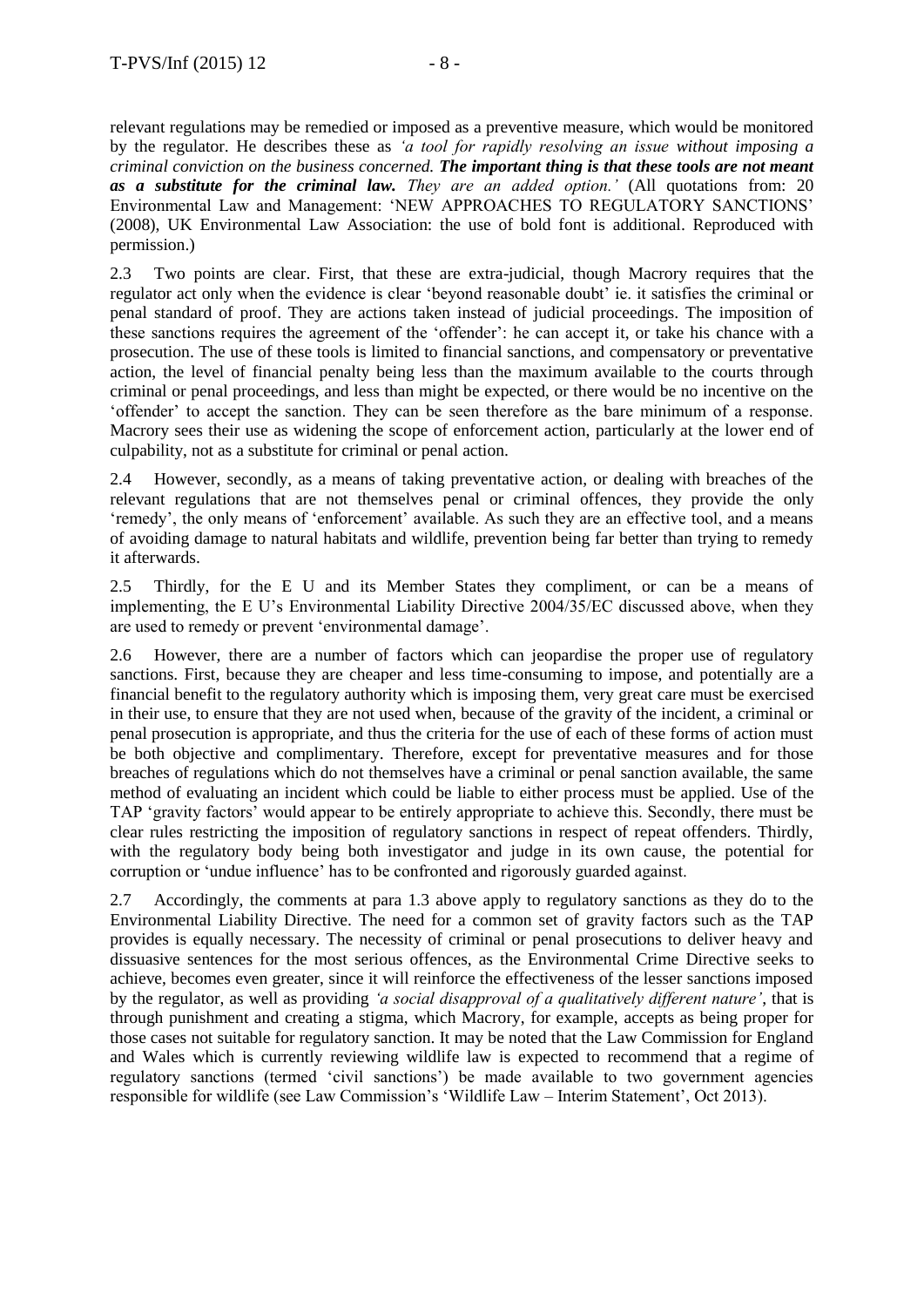relevant regulations may be remedied or imposed as a preventive measure, which would be monitored by the regulator. He describes these as *'a tool for rapidly resolving an issue without imposing a criminal conviction on the business concerned. The important thing is that these tools are not meant as a substitute for the criminal law. They are an added option.'* (All quotations from: 20 Environmental Law and Management: 'NEW APPROACHES TO REGULATORY SANCTIONS' (2008), UK Environmental Law Association: the use of bold font is additional. Reproduced with permission.)

2.3 Two points are clear. First, that these are extra-judicial, though Macrory requires that the regulator act only when the evidence is clear 'beyond reasonable doubt' ie. it satisfies the criminal or penal standard of proof. They are actions taken instead of judicial proceedings. The imposition of these sanctions requires the agreement of the 'offender': he can accept it, or take his chance with a prosecution. The use of these tools is limited to financial sanctions, and compensatory or preventative action, the level of financial penalty being less than the maximum available to the courts through criminal or penal proceedings, and less than might be expected, or there would be no incentive on the 'offender' to accept the sanction. They can be seen therefore as the bare minimum of a response. Macrory sees their use as widening the scope of enforcement action, particularly at the lower end of culpability, not as a substitute for criminal or penal action.

2.4 However, secondly, as a means of taking preventative action, or dealing with breaches of the relevant regulations that are not themselves penal or criminal offences, they provide the only 'remedy', the only means of 'enforcement' available. As such they are an effective tool, and a means of avoiding damage to natural habitats and wildlife, prevention being far better than trying to remedy it afterwards.

2.5 Thirdly, for the E U and its Member States they compliment, or can be a means of implementing, the E U's Environmental Liability Directive 2004/35/EC discussed above, when they are used to remedy or prevent 'environmental damage'.

2.6 However, there are a number of factors which can jeopardise the proper use of regulatory sanctions. First, because they are cheaper and less time-consuming to impose, and potentially are a financial benefit to the regulatory authority which is imposing them, very great care must be exercised in their use, to ensure that they are not used when, because of the gravity of the incident, a criminal or penal prosecution is appropriate, and thus the criteria for the use of each of these forms of action must be both objective and complimentary. Therefore, except for preventative measures and for those breaches of regulations which do not themselves have a criminal or penal sanction available, the same method of evaluating an incident which could be liable to either process must be applied. Use of the TAP 'gravity factors' would appear to be entirely appropriate to achieve this. Secondly, there must be clear rules restricting the imposition of regulatory sanctions in respect of repeat offenders. Thirdly, with the regulatory body being both investigator and judge in its own cause, the potential for corruption or 'undue influence' has to be confronted and rigorously guarded against.

2.7 Accordingly, the comments at para 1.3 above apply to regulatory sanctions as they do to the Environmental Liability Directive. The need for a common set of gravity factors such as the TAP provides is equally necessary. The necessity of criminal or penal prosecutions to deliver heavy and dissuasive sentences for the most serious offences, as the Environmental Crime Directive seeks to achieve, becomes even greater, since it will reinforce the effectiveness of the lesser sanctions imposed by the regulator, as well as providing *'a social disapproval of a qualitatively different nature'*, that is through punishment and creating a stigma, which Macrory, for example, accepts as being proper for those cases not suitable for regulatory sanction. It may be noted that the Law Commission for England and Wales which is currently reviewing wildlife law is expected to recommend that a regime of regulatory sanctions (termed 'civil sanctions') be made available to two government agencies responsible for wildlife (see Law Commission's 'Wildlife Law – Interim Statement', Oct 2013).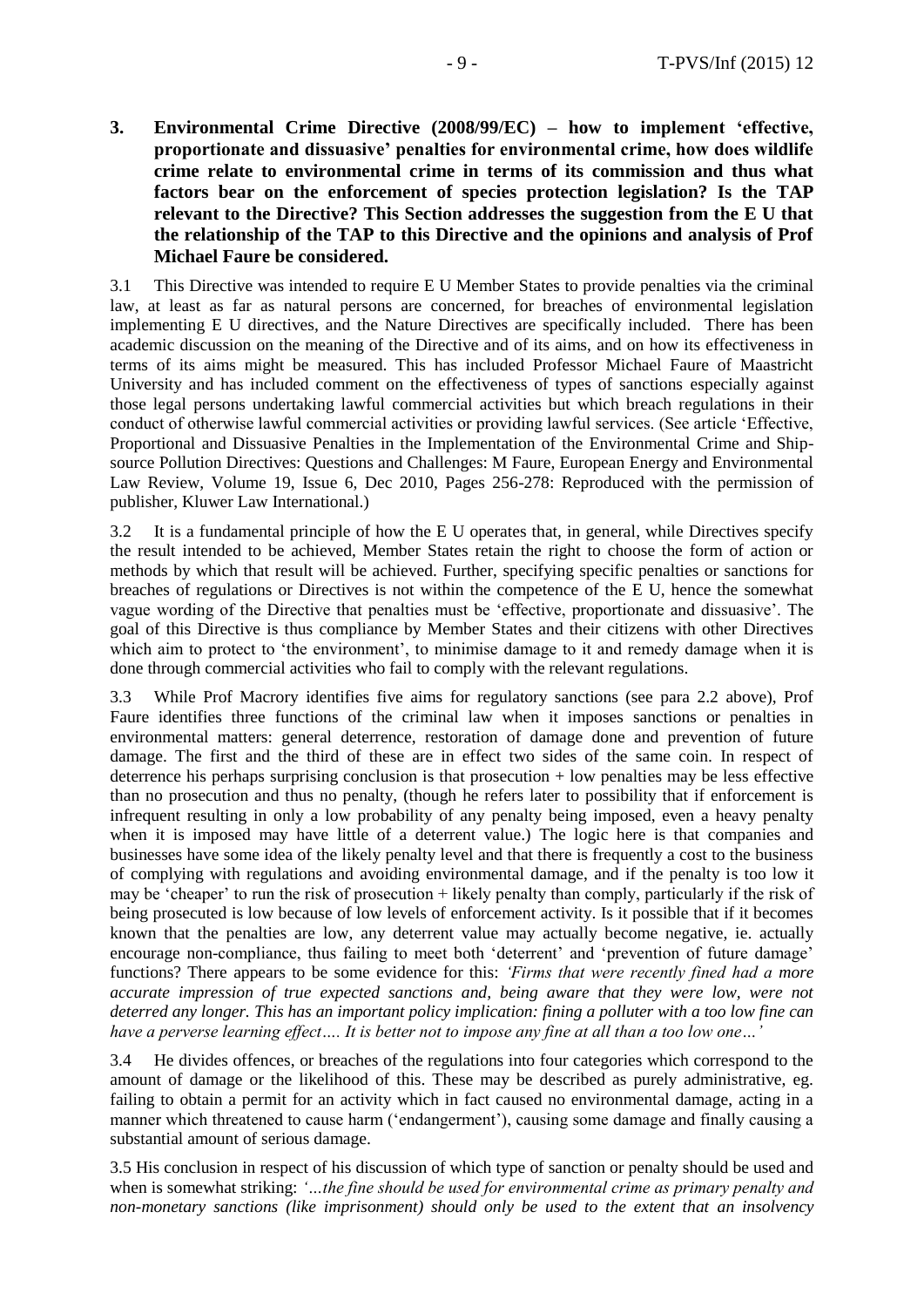**3. Environmental Crime Directive (2008/99/EC) – how to implement 'effective, proportionate and dissuasive' penalties for environmental crime, how does wildlife crime relate to environmental crime in terms of its commission and thus what factors bear on the enforcement of species protection legislation? Is the TAP relevant to the Directive? This Section addresses the suggestion from the E U that the relationship of the TAP to this Directive and the opinions and analysis of Prof Michael Faure be considered.** 

3.1 This Directive was intended to require E U Member States to provide penalties via the criminal law, at least as far as natural persons are concerned, for breaches of environmental legislation implementing E U directives, and the Nature Directives are specifically included. There has been academic discussion on the meaning of the Directive and of its aims, and on how its effectiveness in terms of its aims might be measured. This has included Professor Michael Faure of Maastricht University and has included comment on the effectiveness of types of sanctions especially against those legal persons undertaking lawful commercial activities but which breach regulations in their conduct of otherwise lawful commercial activities or providing lawful services. (See article 'Effective, Proportional and Dissuasive Penalties in the Implementation of the Environmental Crime and Shipsource Pollution Directives: Questions and Challenges: M Faure, European Energy and Environmental Law Review, Volume 19, Issue 6, Dec 2010, Pages 256-278: Reproduced with the permission of publisher, Kluwer Law International.)

3.2 It is a fundamental principle of how the E U operates that, in general, while Directives specify the result intended to be achieved, Member States retain the right to choose the form of action or methods by which that result will be achieved. Further, specifying specific penalties or sanctions for breaches of regulations or Directives is not within the competence of the E U, hence the somewhat vague wording of the Directive that penalties must be 'effective, proportionate and dissuasive'. The goal of this Directive is thus compliance by Member States and their citizens with other Directives which aim to protect to 'the environment', to minimise damage to it and remedy damage when it is done through commercial activities who fail to comply with the relevant regulations.

3.3 While Prof Macrory identifies five aims for regulatory sanctions (see para 2.2 above), Prof Faure identifies three functions of the criminal law when it imposes sanctions or penalties in environmental matters: general deterrence, restoration of damage done and prevention of future damage. The first and the third of these are in effect two sides of the same coin. In respect of deterrence his perhaps surprising conclusion is that prosecution + low penalties may be less effective than no prosecution and thus no penalty, (though he refers later to possibility that if enforcement is infrequent resulting in only a low probability of any penalty being imposed, even a heavy penalty when it is imposed may have little of a deterrent value.) The logic here is that companies and businesses have some idea of the likely penalty level and that there is frequently a cost to the business of complying with regulations and avoiding environmental damage, and if the penalty is too low it may be 'cheaper' to run the risk of prosecution + likely penalty than comply, particularly if the risk of being prosecuted is low because of low levels of enforcement activity. Is it possible that if it becomes known that the penalties are low, any deterrent value may actually become negative, ie. actually encourage non-compliance, thus failing to meet both 'deterrent' and 'prevention of future damage' functions? There appears to be some evidence for this: *'Firms that were recently fined had a more accurate impression of true expected sanctions and, being aware that they were low, were not deterred any longer. This has an important policy implication: fining a polluter with a too low fine can have a perverse learning effect…. It is better not to impose any fine at all than a too low one…'*

3.4 He divides offences, or breaches of the regulations into four categories which correspond to the amount of damage or the likelihood of this. These may be described as purely administrative, eg. failing to obtain a permit for an activity which in fact caused no environmental damage, acting in a manner which threatened to cause harm ('endangerment'), causing some damage and finally causing a substantial amount of serious damage.

3.5 His conclusion in respect of his discussion of which type of sanction or penalty should be used and when is somewhat striking: *'…the fine should be used for environmental crime as primary penalty and non-monetary sanctions (like imprisonment) should only be used to the extent that an insolvency*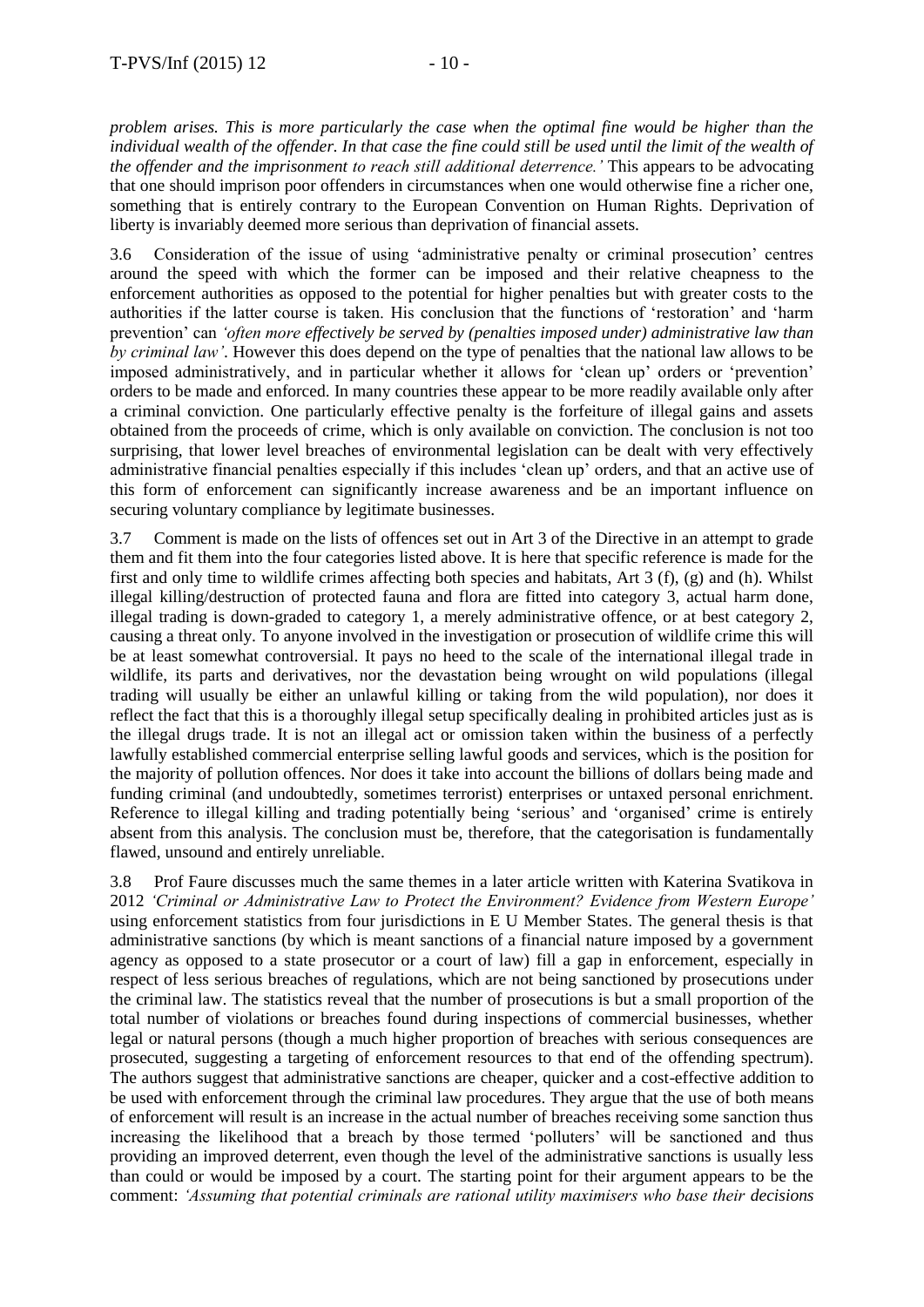*problem arises. This is more particularly the case when the optimal fine would be higher than the*  individual wealth of the offender. In that case the fine could still be used until the limit of the wealth of *the offender and the imprisonment to reach still additional deterrence.'* This appears to be advocating that one should imprison poor offenders in circumstances when one would otherwise fine a richer one, something that is entirely contrary to the European Convention on Human Rights. Deprivation of liberty is invariably deemed more serious than deprivation of financial assets.

3.6 Consideration of the issue of using 'administrative penalty or criminal prosecution' centres around the speed with which the former can be imposed and their relative cheapness to the enforcement authorities as opposed to the potential for higher penalties but with greater costs to the authorities if the latter course is taken. His conclusion that the functions of 'restoration' and 'harm prevention' can *'often more effectively be served by (penalties imposed under) administrative law than by criminal law'*. However this does depend on the type of penalties that the national law allows to be imposed administratively, and in particular whether it allows for 'clean up' orders or 'prevention' orders to be made and enforced. In many countries these appear to be more readily available only after a criminal conviction. One particularly effective penalty is the forfeiture of illegal gains and assets obtained from the proceeds of crime, which is only available on conviction. The conclusion is not too surprising, that lower level breaches of environmental legislation can be dealt with very effectively administrative financial penalties especially if this includes 'clean up' orders, and that an active use of this form of enforcement can significantly increase awareness and be an important influence on securing voluntary compliance by legitimate businesses.

3.7 Comment is made on the lists of offences set out in Art 3 of the Directive in an attempt to grade them and fit them into the four categories listed above. It is here that specific reference is made for the first and only time to wildlife crimes affecting both species and habitats, Art 3 (f), (g) and (h). Whilst illegal killing/destruction of protected fauna and flora are fitted into category 3, actual harm done, illegal trading is down-graded to category 1, a merely administrative offence, or at best category 2, causing a threat only. To anyone involved in the investigation or prosecution of wildlife crime this will be at least somewhat controversial. It pays no heed to the scale of the international illegal trade in wildlife, its parts and derivatives, nor the devastation being wrought on wild populations (illegal trading will usually be either an unlawful killing or taking from the wild population), nor does it reflect the fact that this is a thoroughly illegal setup specifically dealing in prohibited articles just as is the illegal drugs trade. It is not an illegal act or omission taken within the business of a perfectly lawfully established commercial enterprise selling lawful goods and services, which is the position for the majority of pollution offences. Nor does it take into account the billions of dollars being made and funding criminal (and undoubtedly, sometimes terrorist) enterprises or untaxed personal enrichment. Reference to illegal killing and trading potentially being 'serious' and 'organised' crime is entirely absent from this analysis. The conclusion must be, therefore, that the categorisation is fundamentally flawed, unsound and entirely unreliable.

3.8 Prof Faure discusses much the same themes in a later article written with Katerina Svatikova in 2012 *'Criminal or Administrative Law to Protect the Environment? Evidence from Western Europe'* using enforcement statistics from four jurisdictions in E U Member States. The general thesis is that administrative sanctions (by which is meant sanctions of a financial nature imposed by a government agency as opposed to a state prosecutor or a court of law) fill a gap in enforcement, especially in respect of less serious breaches of regulations, which are not being sanctioned by prosecutions under the criminal law. The statistics reveal that the number of prosecutions is but a small proportion of the total number of violations or breaches found during inspections of commercial businesses, whether legal or natural persons (though a much higher proportion of breaches with serious consequences are prosecuted, suggesting a targeting of enforcement resources to that end of the offending spectrum). The authors suggest that administrative sanctions are cheaper, quicker and a cost-effective addition to be used with enforcement through the criminal law procedures. They argue that the use of both means of enforcement will result is an increase in the actual number of breaches receiving some sanction thus increasing the likelihood that a breach by those termed 'polluters' will be sanctioned and thus providing an improved deterrent, even though the level of the administrative sanctions is usually less than could or would be imposed by a court. The starting point for their argument appears to be the comment: *'Assuming that potential criminals are rational utility maximisers who base their decisions*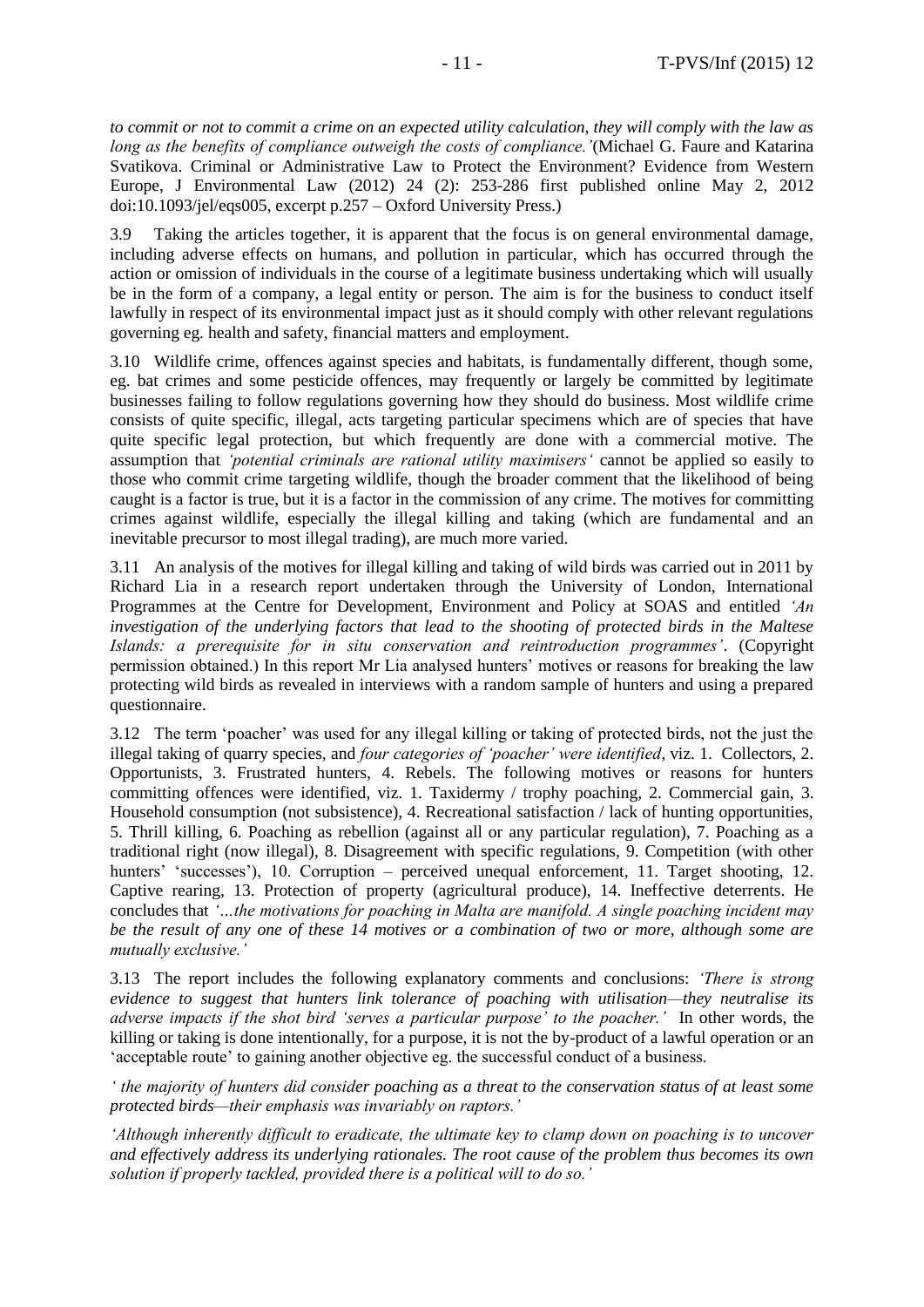*to commit or not to commit a crime on an expected utility calculation, they will comply with the law as long as the benefits of compliance outweigh the costs of compliance.'*(Michael G. Faure and Katarina Svatikova. Criminal or Administrative Law to Protect the Environment? Evidence from Western Europe, J Environmental Law (2012) 24 (2): 253-286 first published online May 2, 2012 doi:10.1093/jel/eqs005, excerpt p.257 – Oxford University Press.)

3.9 Taking the articles together, it is apparent that the focus is on general environmental damage, including adverse effects on humans, and pollution in particular, which has occurred through the action or omission of individuals in the course of a legitimate business undertaking which will usually be in the form of a company, a legal entity or person. The aim is for the business to conduct itself lawfully in respect of its environmental impact just as it should comply with other relevant regulations governing eg. health and safety, financial matters and employment.

3.10 Wildlife crime, offences against species and habitats, is fundamentally different, though some, eg. bat crimes and some pesticide offences, may frequently or largely be committed by legitimate businesses failing to follow regulations governing how they should do business. Most wildlife crime consists of quite specific, illegal, acts targeting particular specimens which are of species that have quite specific legal protection, but which frequently are done with a commercial motive. The assumption that *'potential criminals are rational utility maximisers'* cannot be applied so easily to those who commit crime targeting wildlife, though the broader comment that the likelihood of being caught is a factor is true, but it is a factor in the commission of any crime. The motives for committing crimes against wildlife, especially the illegal killing and taking (which are fundamental and an inevitable precursor to most illegal trading), are much more varied.

3.11 An analysis of the motives for illegal killing and taking of wild birds was carried out in 2011 by Richard Lia in a research report undertaken through the University of London, International Programmes at the Centre for Development, Environment and Policy at SOAS and entitled *'An investigation of the underlying factors that lead to the shooting of protected birds in the Maltese Islands: a prerequisite for in situ conservation and reintroduction programmes'*. (Copyright permission obtained.) In this report Mr Lia analysed hunters' motives or reasons for breaking the law protecting wild birds as revealed in interviews with a random sample of hunters and using a prepared questionnaire.

3.12 The term 'poacher' was used for any illegal killing or taking of protected birds, not the just the illegal taking of quarry species, and *four categories of 'poacher' were identified*, viz. 1. Collectors, 2. Opportunists, 3. Frustrated hunters, 4. Rebels. The following motives or reasons for hunters committing offences were identified, viz. 1. Taxidermy / trophy poaching, 2. Commercial gain, 3. Household consumption (not subsistence), 4. Recreational satisfaction / lack of hunting opportunities, 5. Thrill killing, 6. Poaching as rebellion (against all or any particular regulation), 7. Poaching as a traditional right (now illegal), 8. Disagreement with specific regulations, 9. Competition (with other hunters' 'successes'), 10. Corruption – perceived unequal enforcement, 11. Target shooting, 12. Captive rearing, 13. Protection of property (agricultural produce), 14. Ineffective deterrents. He concludes that *'…the motivations for poaching in Malta are manifold. A single poaching incident may be the result of any one of these 14 motives or a combination of two or more, although some are mutually exclusive.'*

3.13 The report includes the following explanatory comments and conclusions: *'There is strong evidence to suggest that hunters link tolerance of poaching with utilisation—they neutralise its adverse impacts if the shot bird 'serves a particular purpose' to the poacher.'* In other words, the killing or taking is done intentionally, for a purpose, it is not the by-product of a lawful operation or an 'acceptable route' to gaining another objective eg. the successful conduct of a business.

*' the majority of hunters did consider poaching as a threat to the conservation status of at least some protected birds—their emphasis was invariably on raptors.'* 

*'Although inherently difficult to eradicate, the ultimate key to clamp down on poaching is to uncover and effectively address its underlying rationales. The root cause of the problem thus becomes its own solution if properly tackled, provided there is a political will to do so.'*